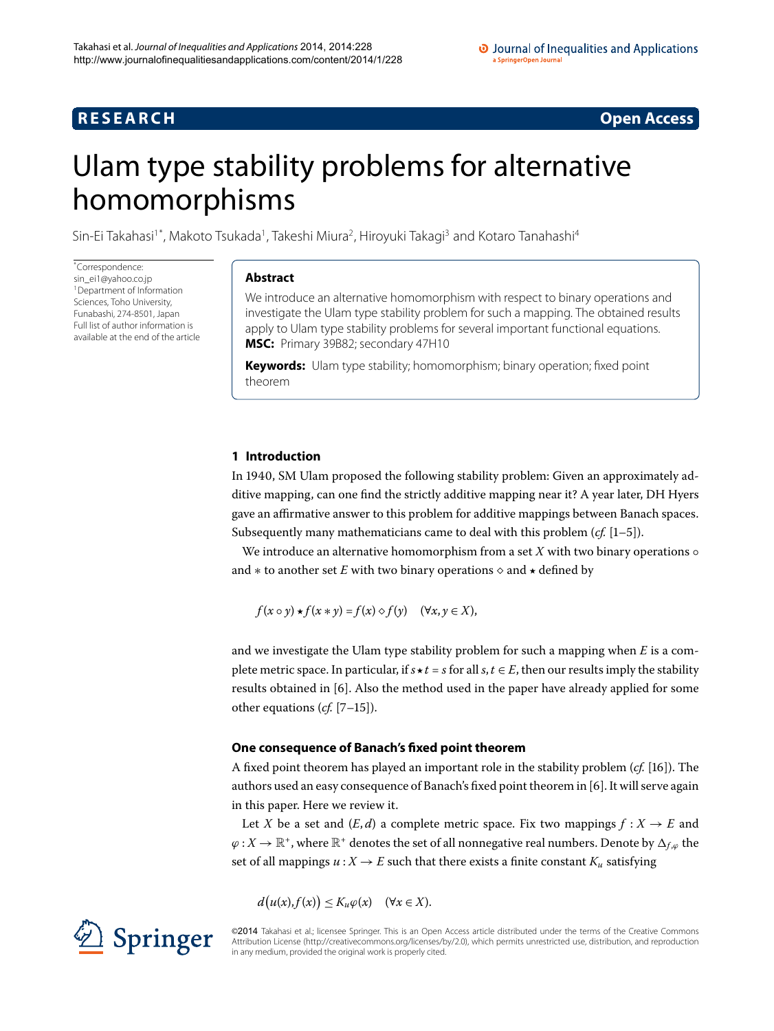# **R E S E A R C H Open Access**

# <span id="page-0-0"></span>Ulam type stability problems for alternative homomorphisms

Sin-Ei Takahasi<sup>[1](#page-12-0)[\\*](#page-0-0)</sup>, Makoto Tsukada<sup>1</sup>, Takeshi Miura<sup>[2](#page-12-1)</sup>, Hiroyuki Takagi<sup>[3](#page-12-2)</sup> and Kotaro Tanahashi<sup>[4](#page-12-3)</sup>

\* Correspondence: [sin\\_ei1@yahoo.co.jp](mailto:sin_ei1@yahoo.co.jp) <sup>1</sup> Department of Information Sciences, Toho University, Funabashi, 274-8501, Japan Full list of author information is available at the end of the article

# **Abstract**

We introduce an alternative homomorphism with respect to binary operations and investigate the Ulam type stability problem for such a mapping. The obtained results apply to Ulam type stability problems for several important functional equations. **MSC:** Primary 39B82; secondary 47H10

**Keywords:** Ulam type stability; homomorphism; binary operation; fixed point theorem

# **1 Introduction**

In 1940, SM Ulam proposed the following stability problem: Given an approximately additive mapping, can one find the strictly additive mapping near it? A year later, DH Hyers gave an affirmative answer to this problem for additive mappings between Banach spaces. Subsequently many mathematicians came to deal with this problem  $(cf. [1-5])$  $(cf. [1-5])$  $(cf. [1-5])$ .

We introduce an alternative homomorphism from a set  $X$  with two binary operations  $\circ$ and  $*$  to another set  $E$  with two binary operations  $\diamond$  and  $\star$  defined by

 $f(x \circ y) \star f(x * y) = f(x) \diamond f(y) \quad (\forall x, y \in X),$ 

and we investigate the Ulam type stability problem for such a mapping when *E* is a complete metric space. In particular, if  $s \star t = s$  for all  $s, t \in E$ , then our results imply the stability results obtained in  $[6]$ . Also the method used in the paper have already applied for some other equations  $(cf. [7-15])$  $(cf. [7-15])$  $(cf. [7-15])$ .

# **One consequence of Banach's fixed point theorem**

A fixed point theorem has played an important role in the stability problem (*cf.* [16]). The authors used an easy consequence of Banach's fixed point theorem in [6[\]](#page-12-6). It will serve again in this paper. Here we review it.

Let *X* be a set and  $(E,d)$  a complete metric space. Fix two mappings  $f: X \to E$  and  $\varphi$  : *X*  $\rightarrow$  R<sup>+</sup>, where R<sup>+</sup> denotes the set of all nonnegative real numbers. Denote by  $\Delta_{f,\varphi}$  the set of all mappings  $u : X \to E$  such that there exists a finite constant  $K_u$  satisfying

 $d(u(x), f(x)) \leq K_u \varphi(x) \quad (\forall x \in X).$ 

©2014 Takahasi et al.; licensee Springer. This is an Open Access article distributed under the terms of the Creative Commons Attribution License [\(http://creativecommons.org/licenses/by/2.0](http://creativecommons.org/licenses/by/2.0)), which permits unrestricted use, distribution, and reproduction in any medium, provided the original work is properly cited.

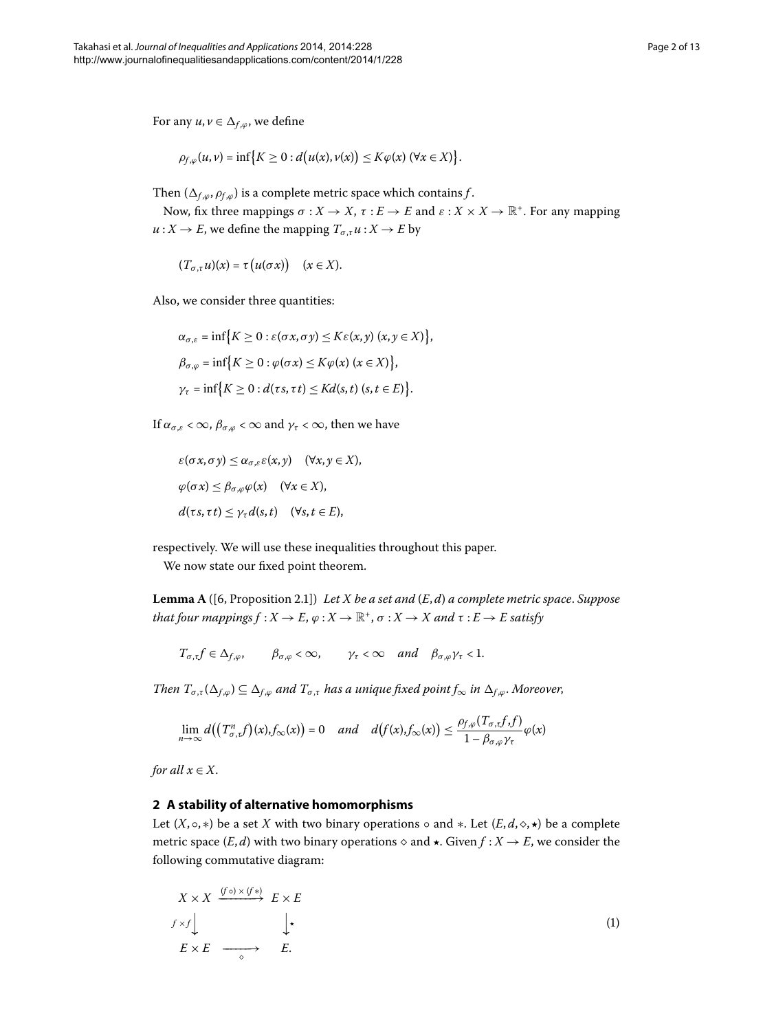For any  $u, v \in \Delta_{f, \varphi}$ , we define

$$
\rho_{f,\varphi}(u,v)=\inf\big\{K\geq 0:d\big(u(x),v(x)\big)\leq K\varphi(x)\,(\forall x\in X)\big\}.
$$

Then  $(\Delta_{f,\omega}, \rho_{f,\omega})$  is a complete metric space which contains *f*.

Now, fix three mappings  $\sigma: X \to X$ ,  $\tau: E \to E$  and  $\varepsilon: X \times X \to \mathbb{R}^+$ . For any mapping  $u: X \to E$ , we define the mapping  $T_{\sigma, \tau} u: X \to E$  by

$$
(T_{\sigma,\tau}u)(x)=\tau(u(\sigma x))\quad(x\in X).
$$

Also, we consider three quantities:

$$
\alpha_{\sigma,\varepsilon} = \inf \{ K \ge 0 : \varepsilon(\sigma x, \sigma y) \le K\varepsilon(x, y) \ (x, y \in X) \},
$$
  
\n
$$
\beta_{\sigma,\varphi} = \inf \{ K \ge 0 : \varphi(\sigma x) \le K\varphi(x) \ (x \in X) \},
$$
  
\n
$$
\gamma_{\tau} = \inf \{ K \ge 0 : d(\tau s, \tau t) \le Kd(s, t) \ (s, t \in E) \}.
$$

If  $\alpha_{\sigma,\varepsilon} < \infty$ ,  $\beta_{\sigma,\varphi} < \infty$  and  $\gamma_{\tau} < \infty$ , then we have

<span id="page-1-1"></span>
$$
\varepsilon(\sigma x, \sigma y) \leq \alpha_{\sigma,\varepsilon} \varepsilon(x, y) \quad (\forall x, y \in X),
$$
  

$$
\varphi(\sigma x) \leq \beta_{\sigma,\varphi} \varphi(x) \quad (\forall x \in X),
$$
  

$$
d(\tau s, \tau t) \leq \gamma_{\tau} d(s, t) \quad (\forall s, t \in E),
$$

respectively. We will use these inequalities throughout this paper.

We now state our fixed point theorem.

Lemma A ([6, Proposition 2.1]) *Let X be a set and* (*E*, *d*) *a complete metric space. Suppose that four mappings*  $f : X \to E$ *,*  $\varphi : X \to \mathbb{R}^+$ *,*  $\sigma : X \to X$  *and*  $\tau : E \to E$  *satisfy* 

 $T_{\sigma,\tau} f \in \Delta_{f,\varphi}, \qquad \beta_{\sigma,\varphi} < \infty, \qquad \gamma_{\tau} < \infty \quad and \quad \beta_{\sigma,\varphi} \gamma_{\tau} < 1.$ 

*Then*  $T_{\sigma,\tau}(\Delta_{f,\varphi}) \subseteq \Delta_{f,\varphi}$  *and*  $T_{\sigma,\tau}$  *has a unique fixed point*  $f_{\infty}$  *in*  $\Delta_{f,\varphi}$ *. Moreover,* 

<span id="page-1-0"></span>
$$
\lim_{n\to\infty}d\big(\big(T^n_{\sigma,\tau}f\big)(x),f_\infty(x)\big)=0\quad and\quad d\big(f(x),f_\infty(x)\big)\leq \frac{\rho_{f,\varphi}(T_{\sigma,\tau}f,f)}{1-\beta_{\sigma,\varphi}\gamma_\tau}\varphi(x)
$$

*for all*  $x \in X$ .

# **2 A stability of alternative homomorphisms**

Let  $(X, \circ, *)$  be a set *X* with two binary operations  $\circ$  and  $*$ . Let  $(E, d, \diamond, \star)$  be a complete metric space  $(E, d)$  with two binary operations  $\diamond$  and  $\star$ . Given  $f : X \to E$ , we consider the following commutative diagram:

$$
X \times X \xrightarrow{(f \circ) \times (f*)} E \times E
$$
  
\n
$$
f \times f \downarrow \qquad \qquad \downarrow \star
$$
  
\n
$$
E \times E \xrightarrow{\circ} E.
$$
  
\n(1)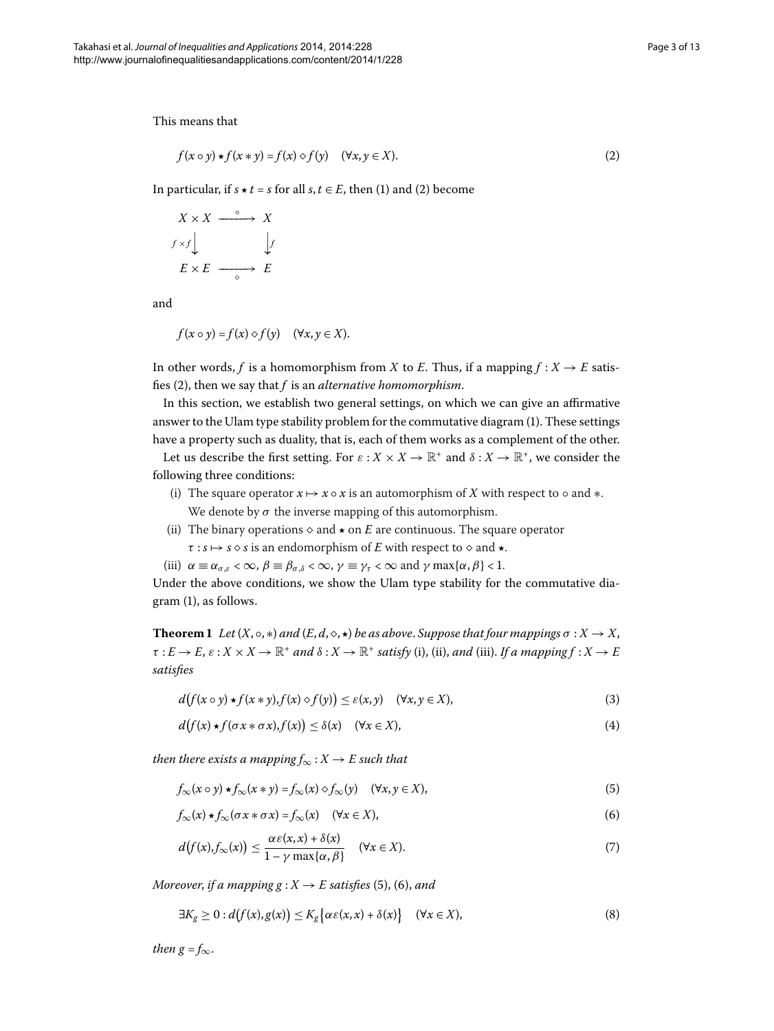This means that

<span id="page-2-0"></span>
$$
f(x \circ y) \star f(x * y) = f(x) \diamond f(y) \quad (\forall x, y \in X).
$$
 (2)

In particular, if  $s \star t = s$  for all  $s, t \in E$ , then (1[\)](#page-2-0) and (2) become

$$
X \times X \xrightarrow{\circ} X
$$
  

$$
f \times f \downarrow \qquad \qquad \downarrow f
$$
  

$$
E \times E \xrightarrow{\circ} E
$$

and

$$
f(x \circ y) = f(x) \diamond f(y) \quad (\forall x, y \in X).
$$

In other words, *f* is a homomorphism from *X* to *E*. Thus, if a mapping  $f : X \to E$  satis-fies (2[\)](#page-2-0), then we say that *f* is an *alternative homomorphism*.

In this section, we establish two general settings, on which we can give an affirmative answer to the Ulam type stability problem for the commutative diagram [\(](#page-1-0)). These settings have a property such as duality, that is, each of them works as a complement of the other.

Let us describe the first setting. For  $\varepsilon$  :  $X \times X \to \mathbb{R}^+$  and  $\delta$  :  $X \to \mathbb{R}^+$ , we consider the following three conditions:

- (i) The square operator  $x \mapsto x \circ x$  is an automorphism of X with respect to  $\circ$  and  $\ast$ . We denote by  $\sigma$  the inverse mapping of this automorphism.
- <span id="page-2-7"></span><span id="page-2-3"></span>(ii) The binary operations  $\diamond$  and  $\star$  on *E* are continuous. The square operator
	- $\tau : s \mapsto s \diamond s$  is an endomorphism of *E* with respect to  $\diamond$  and  $\star$ .
- (iii)  $\alpha \equiv \alpha_{\sigma,\varepsilon} < \infty$ ,  $\beta \equiv \beta_{\sigma,\delta} < \infty$ ,  $\gamma \equiv \gamma_{\tau} < \infty$  and  $\gamma \max\{\alpha,\beta\} < 1$ .

Under the above conditions, we show the Ulam type stability for the commutative dia- $gram(1)$  $gram(1)$  $gram(1)$ , as follows.

**Theorem 1** Let  $(X, \circ, *)$  and  $(E, d, \diamond, \star)$  be as above. Suppose that four mappings  $\sigma : X \to X$ ,  $\tau: E \to E$ ,  $\varepsilon: X \times X \to \mathbb{R}^+$  *and*  $\delta: X \to \mathbb{R}^+$  *satisfy* (i), (ii), *and* (iii). *If a mapping*  $f: X \to E$ *satisfies*

<span id="page-2-4"></span>
$$
d(f(x \circ y) \star f(x * y), f(x) \diamond f(y)) \le \varepsilon(x, y) \quad (\forall x, y \in X), \tag{3}
$$

<span id="page-2-5"></span><span id="page-2-2"></span><span id="page-2-1"></span>
$$
d(f(x)\star f(\sigma x*\sigma x), f(x)) \leq \delta(x) \quad (\forall x \in X), \tag{4}
$$

*then there exists a mapping*  $f_{\infty}: X \to E$  *such that* 

<span id="page-2-6"></span>
$$
f_{\infty}(x \circ y) \star f_{\infty}(x * y) = f_{\infty}(x) \diamond f_{\infty}(y) \quad (\forall x, y \in X),
$$
\n(5)

$$
f_{\infty}(x) \star f_{\infty}(\sigma x * \sigma x) = f_{\infty}(x) \quad (\forall x \in X), \tag{6}
$$

$$
d(f(x), f_{\infty}(x)) \leq \frac{\alpha \varepsilon(x, x) + \delta(x)}{1 - \gamma \max\{\alpha, \beta\}} \quad (\forall x \in X). \tag{7}
$$

*Moreover, if a mapping g* :  $X \rightarrow E$  *satisfies* (5), (6), and

$$
\exists K_g \ge 0 : d(f(x), g(x)) \le K_g \big\{ \alpha \varepsilon(x, x) + \delta(x) \big\} \quad (\forall x \in X), \tag{8}
$$

*then*  $g = f_{\infty}$ *.*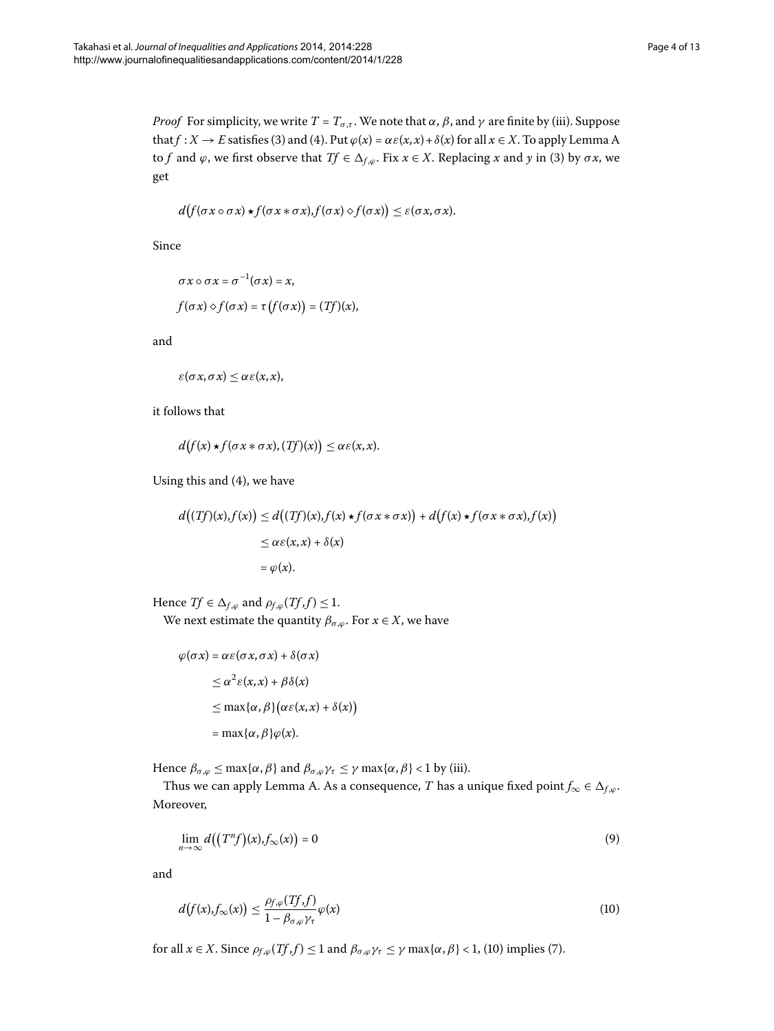*Proof* For simplicity, we write  $T = T_{\sigma,\tau}$ . We note that  $\alpha$ ,  $\beta$ , and  $\gamma$  are finite by (iii). Suppose that  $f: X \to E$  satisfies (3[\)](#page-2-4) and (4). Put  $\varphi(x) = \alpha \varepsilon(x, x) + \delta(x)$  for all  $x \in X$ . To apply Lemma [A](#page-1-1) to *f* and  $\varphi$ , we first observe that *Tf*  $\in \Delta_{f,\varphi}$ . Fix  $x \in X$ . Replacing *x* and *y* in [\(](#page-2-3)3) by  $\sigma x$ , we get

$$
d(f(\sigma x \circ \sigma x) \star f(\sigma x * \sigma x), f(\sigma x) \diamond f(\sigma x)) \leq \varepsilon(\sigma x, \sigma x).
$$

Since

$$
\sigma x \circ \sigma x = \sigma^{-1}(\sigma x) = x,
$$
  

$$
f(\sigma x) \diamond f(\sigma x) = \tau (f(\sigma x)) = (Tf)(x),
$$

and

$$
\varepsilon(\sigma x,\sigma x)\leq \alpha \varepsilon(x,x),
$$

it follows that

$$
d(f(x)\star f(\sigma x*\sigma x), (Tf)(x))\leq \alpha \varepsilon(x,x).
$$

Using this and  $(4)$ , we have

$$
d((Tf)(x), f(x)) \le d((Tf)(x), f(x) \star f(\sigma x * \sigma x)) + d(f(x) \star f(\sigma x * \sigma x), f(x))
$$
  
\n
$$
\le \alpha \varepsilon(x, x) + \delta(x)
$$
  
\n
$$
= \varphi(x).
$$

Hence *Tf*  $\in \Delta_{f,\varphi}$  and  $\rho_{f,\varphi}(Tf,f) \leq 1$ . We next estimate the quantity  $\beta_{\sigma,\varphi}$ . For  $x \in X$ , we have

<span id="page-3-1"></span>
$$
\varphi(\sigma x) = \alpha \varepsilon(\sigma x, \sigma x) + \delta(\sigma x)
$$
  
\n
$$
\leq \alpha^2 \varepsilon(x, x) + \beta \delta(x)
$$
  
\n
$$
\leq \max{\alpha, \beta} (\alpha \varepsilon(x, x) + \delta(x))
$$
  
\n
$$
= \max{\alpha, \beta} \varphi(x).
$$

Hence  $\beta_{\sigma,\varphi} \le \max{\{\alpha, \beta\}}$  and  $\beta_{\sigma,\varphi} \gamma_{\tau} \le \gamma \max{\{\alpha, \beta\}} < 1$  by (iii).

Thus we can apply Lemma [A](#page-1-1). As a consequence, *T* has a unique fixed point  $f_{\infty} \in \Delta_{f,\varphi}$ . Moreover,

<span id="page-3-0"></span>
$$
\lim_{n \to \infty} d((T^n f)(x), f_{\infty}(x)) = 0
$$
\n(9)

and

$$
d(f(x), f_{\infty}(x)) \leq \frac{\rho_{f,\varphi}(Tf, f)}{1 - \beta_{\sigma,\varphi} \gamma_{\tau}} \varphi(x)
$$
\n(10)

for all  $x \in X$ . Since  $\rho_{f,\varphi}(Tf,f) \leq 1$  $\rho_{f,\varphi}(Tf,f) \leq 1$  $\rho_{f,\varphi}(Tf,f) \leq 1$  and  $\beta_{\sigma,\varphi} \gamma_{\tau} \leq \gamma \max\{\alpha,\beta\} < 1$ , (10) implies (7).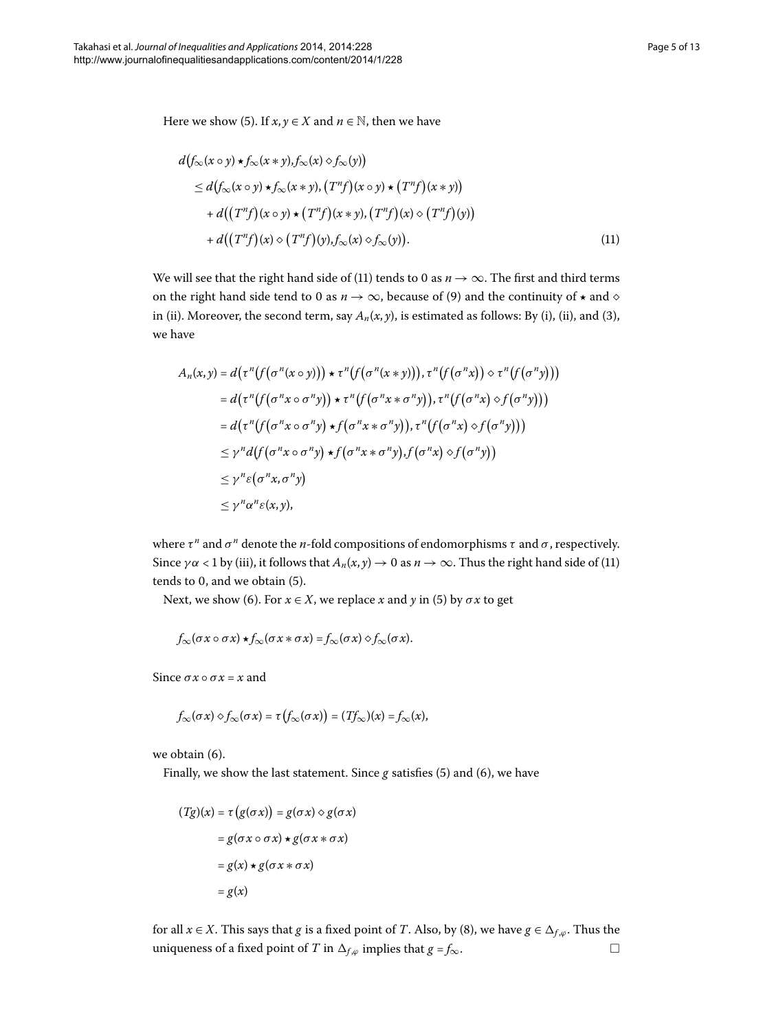Here we show [\(](#page-2-1)5). If  $x, y \in X$  and  $n \in \mathbb{N}$ , then we have

<span id="page-4-0"></span>
$$
d(f_{\infty}(x \circ y) \star f_{\infty}(x * y), f_{\infty}(x) \circ f_{\infty}(y))
$$
  
\n
$$
\leq d(f_{\infty}(x \circ y) \star f_{\infty}(x * y), (T^n f)(x \circ y) \star (T^n f)(x * y))
$$
  
\n
$$
+ d((T^n f)(x \circ y) \star (T^n f)(x * y), (T^n f)(x) \circ (T^n f)(y))
$$
  
\n
$$
+ d((T^n f)(x) \circ (T^n f)(y), f_{\infty}(x) \circ f_{\infty}(y)). \tag{11}
$$

We will see that the right hand side of (11[\)](#page-4-0) tends to 0 as  $n \to \infty$ . The first and third terms on the right hand side tend to 0 as  $n \to \infty$ , because of (9[\)](#page-3-1) and the continuity of  $\star$  and  $\diamond$ in (ii[\)](#page-2-3). Moreover, the second term, say  $A_n(x, y)$ , is estimated as follows: By (i), (ii), and (3), we have

$$
A_n(x,y) = d(\tau^n(f(\sigma^n(x \circ y))) \star \tau^n(f(\sigma^n(x \ast y))), \tau^n(f(\sigma^n x)) \diamond \tau^n(f(\sigma^n y)))
$$
  
\n
$$
= d(\tau^n(f(\sigma^n x \circ \sigma^n y)) \star \tau^n(f(\sigma^n x \ast \sigma^n y)), \tau^n(f(\sigma^n x) \diamond f(\sigma^n y)))
$$
  
\n
$$
= d(\tau^n(f(\sigma^n x \circ \sigma^n y) \star f(\sigma^n x \ast \sigma^n y)), \tau^n(f(\sigma^n x) \diamond f(\sigma^n y)))
$$
  
\n
$$
\leq \gamma^n d(f(\sigma^n x \circ \sigma^n y) \star f(\sigma^n x \ast \sigma^n y), f(\sigma^n x) \diamond f(\sigma^n y))
$$
  
\n
$$
\leq \gamma^n \epsilon(\sigma^n x, \sigma^n y)
$$
  
\n
$$
\leq \gamma^n \alpha^n \epsilon(x, y),
$$

where  $\tau^n$  and  $\sigma^n$  denote the *n*-fold compositions of endomorphisms  $\tau$  and  $\sigma$ , respectively. Since  $\gamma \alpha$  < 1 by (iii), it follows that  $A_n(x, y) \rightarrow 0$  as  $n \rightarrow \infty$ . Thus the right hand side of (11) tends to  $0$ , and we obtain  $(5)$  $(5)$ .

Next, we show [\(](#page-2-1)6). For  $x \in X$ , we replace *x* and *y* in (5) by  $\sigma x$  to get

$$
f_{\infty}(\sigma x \circ \sigma x) \star f_{\infty}(\sigma x * \sigma x) = f_{\infty}(\sigma x) \diamond f_{\infty}(\sigma x).
$$

Since  $\sigma x \circ \sigma x = x$  and

$$
f_{\infty}(\sigma x) \diamond f_{\infty}(\sigma x) = \tau (f_{\infty}(\sigma x)) = (Tf_{\infty})(x) = f_{\infty}(x),
$$

we obtain  $(6)$ .

Finally, we show the last statement. Since  $g$  satisfies (5[\)](#page-2-1) and (6), we have

$$
(Tg)(x) = \tau (g(\sigma x)) = g(\sigma x) \diamond g(\sigma x)
$$

$$
= g(\sigma x \circ \sigma x) \star g(\sigma x * \sigma x)
$$

$$
= g(x) \star g(\sigma x * \sigma x)
$$

$$
= g(x)
$$

for all  $x \in X$ . This says that *g* is a fixed point of *T*. Also, by (8[\)](#page-2-6), we have  $g \in \Delta_{f,\varphi}$ . Thus the uniqueness of a fixed point of *T* in  $\Delta_{f,\varphi}$  implies that *g* = *f*<sub>∞</sub>.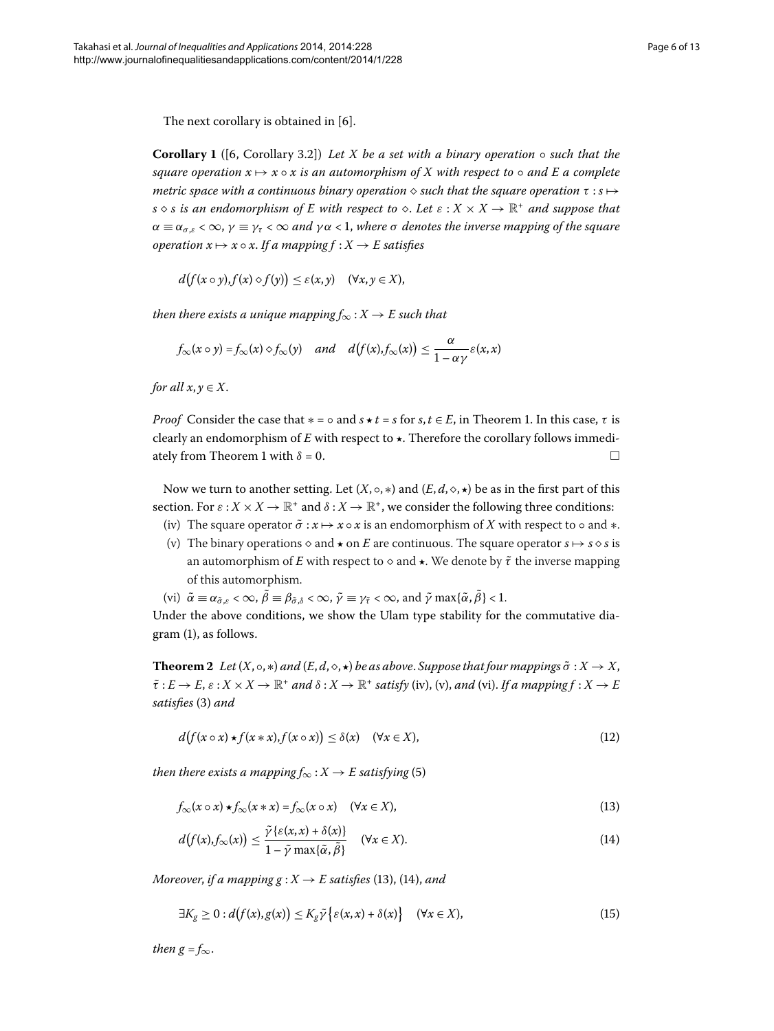The next corollary is obtained in  $[6]$ .

**Corollary 1** ([6, Corollary 3.2]) *Let X be a set with a binary operation* ◦ *such that the square operation*  $x \mapsto x \circ x$  *is an automorphism of* X with respect to  $\circ$  *and* E *a complete metric space with a continuous binary operation*  $\Diamond$  such that the square operation τ : *s*  $\rightarrow$ *s*  $\circ$  *s is an endomorphism of E* with respect to  $\circ$ . Let  $\varepsilon$  :  $X \times X \to \mathbb{R}^+$  and suppose that  $\alpha \equiv \alpha_{\sigma,\varepsilon} < \infty$ ,  $\gamma \equiv \gamma_{\tau} < \infty$  *and*  $\gamma \alpha < 1$ , *where*  $\sigma$  *denotes the inverse mapping of the square operation*  $x \mapsto x \circ x$ . If a mapping  $f : X \to E$  satisfies

$$
d(f(x\circ y),f(x)\diamond f(y))\leq \varepsilon(x,y)\quad (\forall x,y\in X),
$$

*then there exists a unique mapping*  $f_{\infty}: X \to E$  *such that* 

$$
f_{\infty}(x \circ y) = f_{\infty}(x) \diamond f_{\infty}(y)
$$
 and  $d(f(x), f_{\infty}(x)) \le \frac{\alpha}{1 - \alpha \gamma} \varepsilon(x, x)$ 

*for all*  $x, y \in X$ .

*Proof* Consider the case that  $* = \circ$  and  $s \star t = s$  for  $s, t \in E$ , in Theorem 1. In this case,  $\tau$  is clearly an endomorphism of *E* with respect to *-*. Therefore the corollary follows immediately from Theorem 1 with  $\delta = 0$ .

Now we turn to another setting. Let  $(X, \circ, *)$  and  $(E, d, \diamond, \star)$  be as in the first part of this section. For  $\varepsilon$  :  $X \times X \to \mathbb{R}^+$  and  $\delta$  :  $X \to \mathbb{R}^+$ , we consider the following three conditions:

- (iv) The square operator  $\tilde{\sigma}$  :  $x \mapsto x \circ x$  is an endomorphism of *X* with respect to  $\circ$  and  $\ast$ .
- <span id="page-5-4"></span>(v) The binary operations  $\diamond$  and  $\star$  on *E* are continuous. The square operator  $s \mapsto s \diamond s$  is an automorphism of *E* with respect to  $\diamond$  and  $\star$ . We denote by  $\tilde{\tau}$  the inverse mapping of this automorphism.

<span id="page-5-2"></span>(vi)  $\tilde{\alpha} \equiv \alpha_{\tilde{\sigma}, \varepsilon} < \infty$ ,  $\tilde{\beta} \equiv \beta_{\tilde{\sigma}, \delta} < \infty$ ,  $\tilde{\gamma} \equiv \gamma_{\tilde{\tau}} < \infty$ , and  $\tilde{\gamma} \max{\{\tilde{\alpha}, \tilde{\beta}\} < 1}$ .

Under the above conditions, we show the Ulam type stability for the commutative diagram  $(1)$  $(1)$ , as follows.

**Theorem 2** Let  $(X, \circ, *)$  and  $(E, d, \diamond, \star)$  be as above. Suppose that four mappings  $\tilde{\sigma}: X \to X$ ,  $\tilde{\tau}: E \to E$ ,  $\varepsilon: X \times X \to \mathbb{R}^+$  *and*  $\delta: X \to \mathbb{R}^+$  *satisfy* (iv), (v), *and* (vi). *If a mapping*  $f: X \to E$ *satisfies* [\(](#page-2-3)3) and

<span id="page-5-1"></span><span id="page-5-0"></span>
$$
d(f(x \circ x) \star f(x*x), f(x \circ x)) \leq \delta(x) \quad (\forall x \in X), \tag{12}
$$

*then there exists a mapping*  $f_{\infty}: X \to E$  *satisfying* (5[\)](#page-2-1)

$$
f_{\infty}(x \circ x) \star f_{\infty}(x * x) = f_{\infty}(x \circ x) \quad (\forall x \in X),
$$
\n(13)

<span id="page-5-3"></span>
$$
d(f(x), f_{\infty}(x)) \leq \frac{\tilde{\gamma} \{ \varepsilon(x, x) + \delta(x) \}}{1 - \tilde{\gamma} \max\{\tilde{\alpha}, \tilde{\beta}\}} \quad (\forall x \in X). \tag{14}
$$

*Moreover, if a mapping g* :  $X \rightarrow E$  *satisfies* (13[\)](#page-5-1), (14), and

$$
\exists K_g \ge 0 : d(f(x), g(x)) \le K_g \tilde{\gamma} \{ \varepsilon(x, x) + \delta(x) \} \quad (\forall x \in X), \tag{15}
$$

*then*  $g = f_{\infty}$ .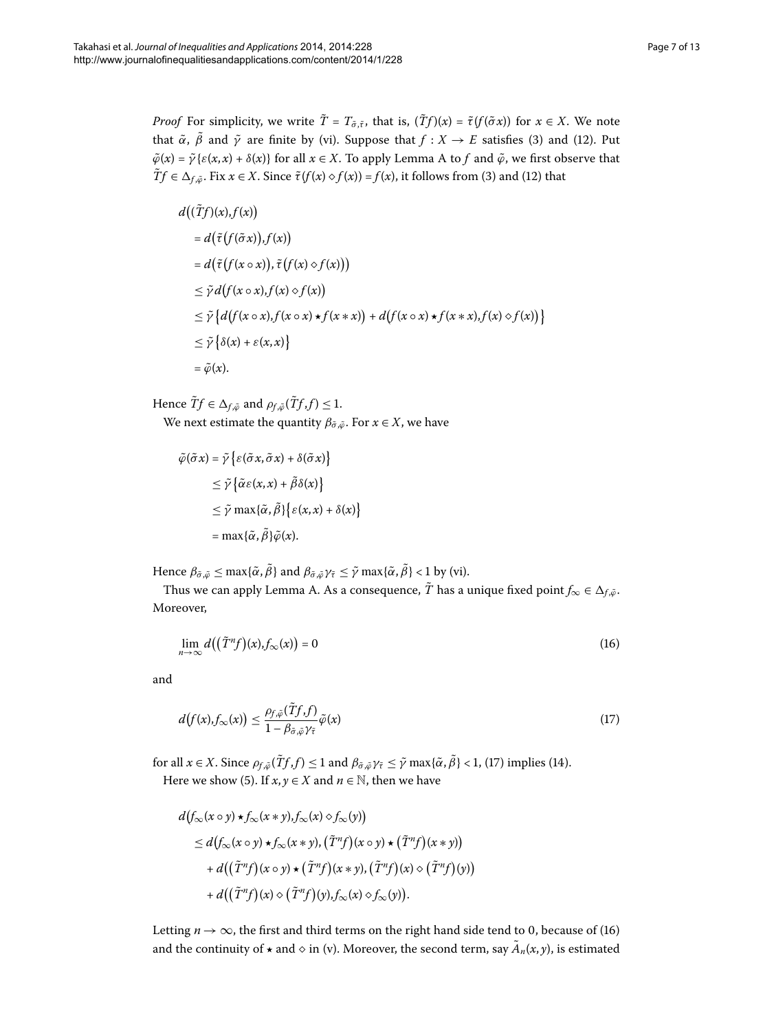*Proof* For simplicity, we write  $\tilde{T} = T_{\tilde{\sigma}, \tilde{\tau}}$ , that is,  $(\tilde{T}f)(x) = \tilde{\tau}(f(\tilde{\sigma}x))$  for  $x \in X$ . We note that  $\tilde{\alpha}$ ,  $\tilde{\beta}$  and  $\tilde{\gamma}$  are finite by (vi[\)](#page-5-2). Suppose that  $f : X \to E$  satisfies (3) and (12). Put  $\tilde{\varphi}(x) = \tilde{\gamma} \{ \varepsilon(x, x) + \delta(x) \}$  for all  $x \in X$ . To apply Lemma [A](#page-1-1) to *f* and  $\tilde{\varphi}$ , we first observe that  $\tilde{T}f \in \Delta_{f,\tilde{\varphi}}$ . Fix  $x \in X$ . Since  $\tilde{\tau}(f(x) \diamond f(x)) = f(x)$  $\tilde{\tau}(f(x) \diamond f(x)) = f(x)$  $\tilde{\tau}(f(x) \diamond f(x)) = f(x)$ , it follows from (3) and (12) that

$$
d((\tilde{T}f)(x), f(x))
$$
  
=  $d(\tilde{\tau}(f(\tilde{\sigma}x)), f(x))$   
=  $d(\tilde{\tau}(f(x \circ x)), \tilde{\tau}(f(x) \circ f(x)))$   
 $\leq \tilde{\gamma}d(f(x \circ x), f(x) \circ f(x))$   
 $\leq \tilde{\gamma}\{d(f(x \circ x), f(x \circ x) \star f(x * x)) + d(f(x \circ x) \star f(x * x), f(x) \circ f(x))\}$   
 $\leq \tilde{\gamma}\{\delta(x) + \varepsilon(x, x)\}$   
=  $\tilde{\varphi}(x)$ .

Hence  $\tilde{T}f \in \Delta_{f,\tilde{\varphi}}$  and  $\rho_{f,\tilde{\varphi}}(\tilde{T}f,f) \leq 1$ . We next estimate the quantity  $\beta_{\tilde{\sigma}, \tilde{\varphi}}$ . For  $x \in X$ , we have

<span id="page-6-1"></span>
$$
\tilde{\varphi}(\tilde{\sigma} x) = \tilde{\gamma} \left\{ \varepsilon(\tilde{\sigma} x, \tilde{\sigma} x) + \delta(\tilde{\sigma} x) \right\}
$$
  
\n
$$
\leq \tilde{\gamma} \left\{ \tilde{\alpha} \varepsilon(x, x) + \tilde{\beta} \delta(x) \right\}
$$
  
\n
$$
\leq \tilde{\gamma} \max \{ \tilde{\alpha}, \tilde{\beta} \} \left\{ \varepsilon(x, x) + \delta(x) \right\}
$$
  
\n
$$
= \max \{ \tilde{\alpha}, \tilde{\beta} \} \tilde{\varphi}(x).
$$

Hence  $\beta_{\tilde{\sigma}, \tilde{\varphi}} \le \max{\{\tilde{\alpha}, \tilde{\beta}\}}$  and  $\beta_{\tilde{\sigma}, \tilde{\varphi}} \gamma_{\tilde{\tau}} \le \tilde{\gamma} \max{\{\tilde{\alpha}, \tilde{\beta}\}} < 1$  by (vi).

Thus we can apply Lemma [A](#page-1-1). As a consequence,  $\tilde{T}$  has a unique fixed point  $f_{\infty} \in \Delta_{f, \tilde{\varphi}}$ . Moreover,

<span id="page-6-0"></span>
$$
\lim_{n \to \infty} d((\tilde{T}^{n}f)(x), f_{\infty}(x)) = 0
$$
\n(16)

and

$$
d(f(x), f_{\infty}(x)) \leq \frac{\rho_{f,\tilde{\varphi}}(\tilde{T}f, f)}{1 - \beta_{\tilde{\sigma},\tilde{\varphi}}\gamma_{\tilde{\tau}}}\tilde{\varphi}(x)
$$
\n(17)

for all  $x \in X$ . Since  $\rho_{f, \tilde{\varphi}}(\tilde{T}f, f) \leq 1$  $\rho_{f, \tilde{\varphi}}(\tilde{T}f, f) \leq 1$  $\rho_{f, \tilde{\varphi}}(\tilde{T}f, f) \leq 1$  and  $\beta_{\tilde{\sigma}, \tilde{\varphi}} \gamma_{\tilde{\tau}} \leq \tilde{\gamma}$  max{ $\tilde{\alpha}, \tilde{\beta} \leq 1$ , (17) implies (14). Here we show (5). If  $x, y \in X$  and  $n \in \mathbb{N}$ , then we have

$$
d(f_{\infty}(x \circ y) \star f_{\infty}(x * y), f_{\infty}(x) \circ f_{\infty}(y))
$$
  
\n
$$
\leq d(f_{\infty}(x \circ y) \star f_{\infty}(x * y), (\tilde{T}^n f)(x \circ y) \star (\tilde{T}^n f)(x * y))
$$
  
\n
$$
+ d((\tilde{T}^n f)(x \circ y) \star (\tilde{T}^n f)(x * y), (\tilde{T}^n f)(x) \circ (\tilde{T}^n f)(y))
$$
  
\n
$$
+ d((\tilde{T}^n f)(x) \circ (\tilde{T}^n f)(y), f_{\infty}(x) \circ f_{\infty}(y)).
$$

Letting  $n \to \infty$ , the first and third terms on the right hand side tend to 0, because of (16) and the continuity of  $\star$  and  $\diamond$  in (v). Moreover, the second term, say  $A_n(x, y)$ , is estimated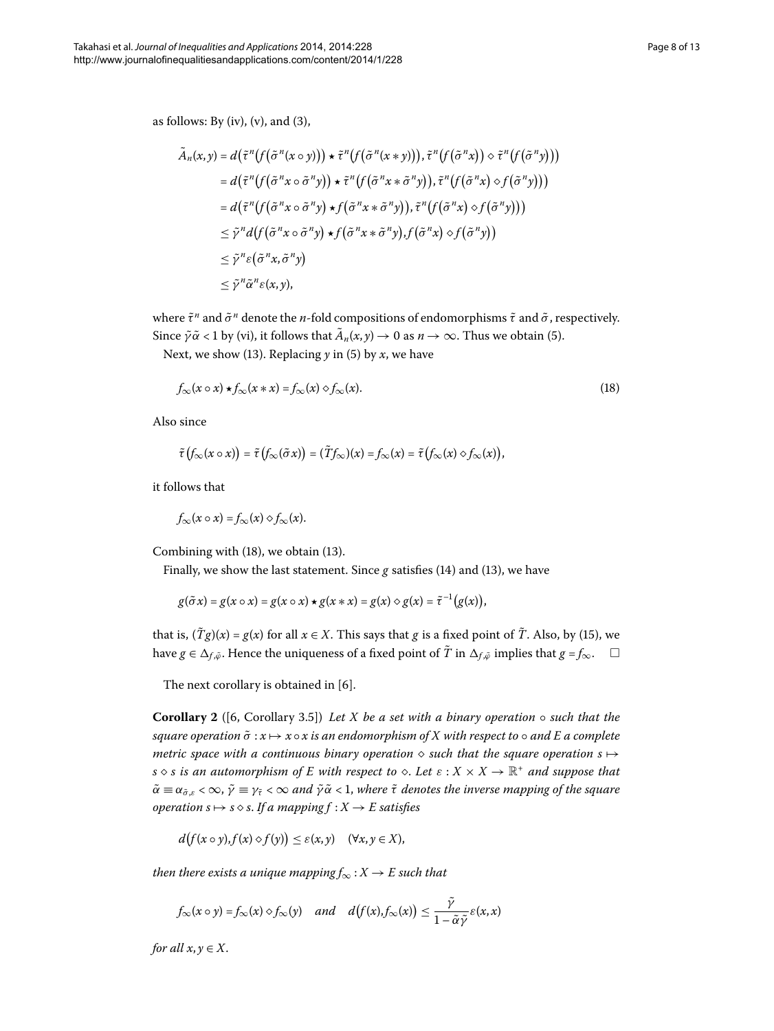<span id="page-7-0"></span>
$$
\tilde{A}_n(x, y) = d\left(\tilde{\tau}^n\left(f(\tilde{\sigma}^n(x \circ y))\right) \star \tilde{\tau}^n\left(f(\tilde{\sigma}^n(x * y))\right), \tilde{\tau}^n\left(f(\tilde{\sigma}^n x)\right) \circ \tilde{\tau}^n\left(f(\tilde{\sigma}^n y)\right)\right)
$$
\n
$$
= d\left(\tilde{\tau}^n\left(f(\tilde{\sigma}^n x \circ \tilde{\sigma}^n y)\right) \star \tilde{\tau}^n\left(f(\tilde{\sigma}^n x * \tilde{\sigma}^n y)\right), \tilde{\tau}^n\left(f(\tilde{\sigma}^n x) \circ f(\tilde{\sigma}^n y)\right)\right)
$$
\n
$$
= d\left(\tilde{\tau}^n\left(f(\tilde{\sigma}^n x \circ \tilde{\sigma}^n y) \star f(\tilde{\sigma}^n x * \tilde{\sigma}^n y)\right), \tilde{\tau}^n\left(f(\tilde{\sigma}^n x) \circ f(\tilde{\sigma}^n y)\right)\right)
$$
\n
$$
\leq \tilde{\gamma}^n d\left(f(\tilde{\sigma}^n x \circ \tilde{\sigma}^n y) \star f(\tilde{\sigma}^n x * \tilde{\sigma}^n y), f(\tilde{\sigma}^n x) \circ f(\tilde{\sigma}^n y)\right)
$$
\n
$$
\leq \tilde{\gamma}^n \varepsilon(\tilde{\sigma}^n x, \tilde{\sigma}^n y)
$$
\n
$$
\leq \tilde{\gamma}^n \tilde{\alpha}^n \varepsilon(x, y),
$$

where *τ*˜*<sup>n</sup>* and *σ*˜ *<sup>n</sup>* denote the *n*-fold compositions of endomorphisms *τ*˜ and *σ*˜ , respectively. Since  $\tilde{\gamma} \tilde{\alpha}$  < 1 by [\(](#page-2-1)vi), it follows that  $\tilde{A}_n(x, y) \to 0$  as  $n \to \infty$ . Thus we obtain (5).

Next, we show [\(](#page-5-0)13[\)](#page-2-1). Replacing  $\gamma$  in (5) by *x*, we have

$$
f_{\infty}(x \circ x) \star f_{\infty}(x * x) = f_{\infty}(x) \diamond f_{\infty}(x). \tag{18}
$$

Also since

$$
\tilde{\tau}\big(f_{\infty}(x \circ x)\big) = \tilde{\tau}\big(f_{\infty}(\tilde{\sigma} x)\big) = (Tf_{\infty})(x) = f_{\infty}(x) = \tilde{\tau}\big(f_{\infty}(x) \diamond f_{\infty}(x)\big),
$$

it follows that

$$
f_{\infty}(x \circ x) = f_{\infty}(x) \diamond f_{\infty}(x).
$$

Combining with  $(18)$  $(18)$ , we obtain  $(13)$ .

Finally, we show the last statement. Since  $g$  satisfies (14[\)](#page-5-1) and (13), we have

$$
g(\tilde{\sigma} x) = g(x \circ x) = g(x \circ x) \star g(x * x) = g(x) \diamond g(x) = \tilde{\tau}^{-1}(g(x)),
$$

that is,  $(Tg)(x) = g(x)$  $(Tg)(x) = g(x)$  $(Tg)(x) = g(x)$  for all  $x \in X$ . This says that *g* is a fixed point of  $\tilde{T}$ . Also, by (15), we have  $g \in \Delta_{f, \tilde{\varphi}}$ . Hence the uniqueness of a fixed point of  $T$  in  $\Delta_{f, \tilde{\varphi}}$  implies that  $g = f_{\infty}$ .  $\quad \Box$ 

The next corollary is obtained in  $[6]$ .

**Corollary 2** ([\[](#page-12-6)6, Corollary 3.5]) *Let X be a set with a binary operation* ◦ *such that the square operation*  $\tilde{\sigma}$  :  $x \mapsto x \circ x$  *is an endomorphism of X with respect to*  $\circ$  *and E a complete metric space with a continuous binary operation*  $\diamond$  *such that the square operation s*  $\mapsto$ *s*  $\circ$  *s* is an automorphism of E with respect to  $\circ$ . Let  $\varepsilon$  :  $X \times X \to \mathbb{R}^+$  and suppose that  $\tilde{\alpha} \equiv \alpha_{\tilde{\sigma},\varepsilon} < \infty$ ,  $\tilde{\gamma} \equiv \gamma_{\tilde{\tau}} < \infty$  *and*  $\tilde{\gamma} \tilde{\alpha} < 1$ , where  $\tilde{\tau}$  denotes the inverse mapping of the square *operation*  $s \mapsto s \diamond s$ . If a mapping  $f : X \to E$  satisfies

$$
d(f(x\circ y),f(x)\diamond f(y))\leq \varepsilon(x,y)\quad (\forall x,y\in X),
$$

*then there exists a unique mapping*  $f_{\infty}: X \to E$  such that

$$
f_{\infty}(x \circ y) = f_{\infty}(x) \circ f_{\infty}(y)
$$
 and  $d(f(x), f_{\infty}(x)) \leq \frac{\tilde{\gamma}}{1 - \tilde{\alpha}\tilde{\gamma}} \varepsilon(x, x)$ 

*for all*  $x, y \in X$ .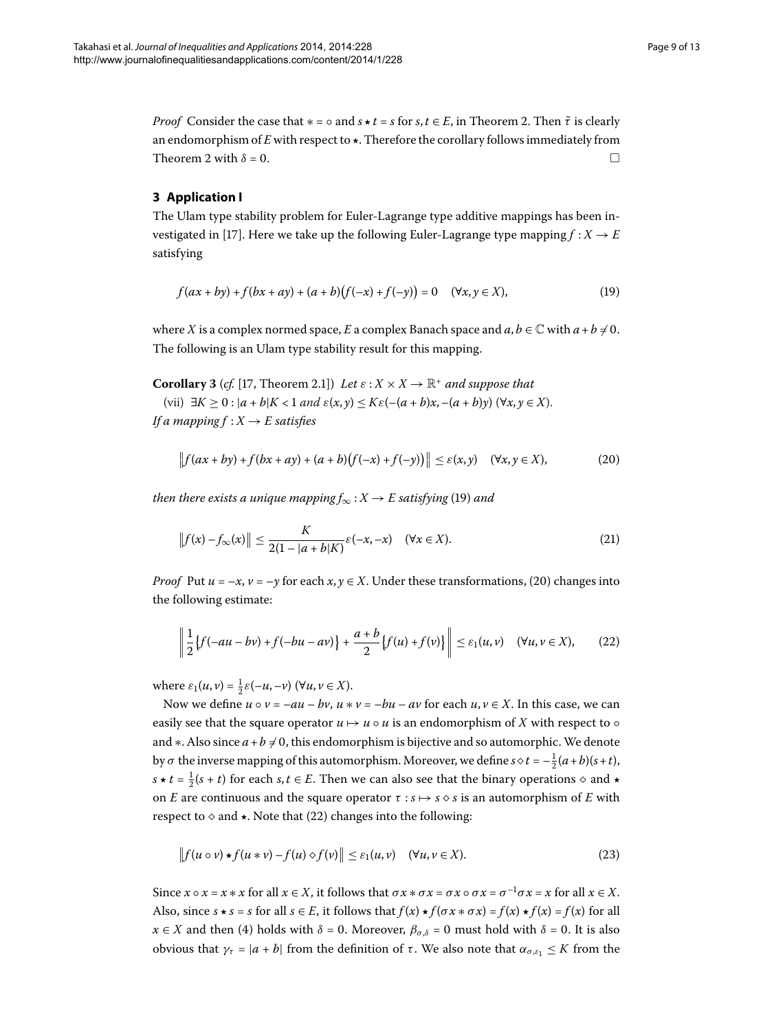*Proof* Consider the case that  $* = \circ$  and  $s \star t = s$  for  $s, t \in E$ , in Theorem 2. Then  $\tilde{\tau}$  is clearly an endomorphism of  $E$  with respect to  $\star$ . Therefore the corollary follows immediately from Theorem 2 with  $\delta = 0$ .

### **3 Application I**

The Ulam type stability problem for Euler-Lagrange type additive mappings has been in-vestigated in [\[](#page-12-10)17]. Here we take up the following Euler-Lagrange type mapping  $f : X \rightarrow E$ satisfying

<span id="page-8-4"></span><span id="page-8-1"></span><span id="page-8-0"></span>
$$
f(ax + by) + f(bx + ay) + (a + b)(f(-x) + f(-y)) = 0 \quad (\forall x, y \in X),
$$
 (19)

where *X* is a complex normed space, *E* a complex Banach space and  $a, b \in \mathbb{C}$  with  $a + b \neq 0$ . The following is an Ulam type stability result for this mapping.

**Corollary 3** (*cf.* [\[](#page-12-10)17, Theorem 2.1]) *Let*  $\varepsilon$  :  $X \times X \rightarrow \mathbb{R}^+$  *and suppose that* 

(vii)  $\exists K \geq 0 : |a+b|K < 1 \text{ and } \varepsilon(x, y) \leq K\varepsilon(-(a+b)x, -(a+b)y) \, (\forall x, y \in X).$ *If a mapping*  $f : X \rightarrow E$  *satisfies* 

<span id="page-8-3"></span>
$$
\left\|f(ax+by)+f(bx+ay)+(a+b)\big(f(-x)+f(-y)\big)\right\|\leq\varepsilon(x,y)\quad(\forall x,y\in X),\tag{20}
$$

*then there exists a unique mapping*  $f_{\infty}: X \to E$  *satisfying* [\(](#page-8-0)19) *and* 

<span id="page-8-2"></span>
$$
\left\|f(x) - f_{\infty}(x)\right\| \le \frac{K}{2(1 - |a + b|K)} \varepsilon(-x, -x) \quad (\forall x \in X). \tag{21}
$$

*Proof* Put  $u = -x$ ,  $v = -y$  for each  $x, y \in X$ . Under these transformations, (20) changes into the following estimate:

<span id="page-8-5"></span>
$$
\left\| \frac{1}{2} \left\{ f(-au - bv) + f(-bu - av) \right\} + \frac{a + b}{2} \left\{ f(u) + f(v) \right\} \right\| \le \varepsilon_1(u, v) \quad (\forall u, v \in X), \tag{22}
$$

where  $\varepsilon_1(u, v) = \frac{1}{2}\varepsilon(-u, -v)$  ( $\forall u, v \in X$ ).

Now we define  $u \circ v = -au - bv$ ,  $u * v = -bu - av$  for each  $u, v \in X$ . In this case, we can easily see that the square operator  $u \mapsto u \circ u$  is an endomorphism of X with respect to  $\circ$ and ∗. Also since  $a + b \neq 0$ , this endomorphism is bijective and so automorphic. We denote by  $\sigma$  the inverse mapping of this automorphism. Moreover, we define  $s \diamond t = -\frac{1}{2}(a+b)(s+t)$ , *s* ★ *t* =  $\frac{1}{2}(s + t)$  for each *s*, *t* ∈ *E*. Then we can also see that the binary operations  $\diamond$  and ★ on *E* are continuous and the square operator  $\tau : s \mapsto s \diamond s$  is an automorphism of *E* with respect to  $\diamond$  and  $\star$ . Note that (22) changes into the following:

$$
\|f(u \circ v) \star f(u * v) - f(u) \diamond f(v)\| \le \varepsilon_1(u, v) \quad (\forall u, v \in X). \tag{23}
$$

Since  $x \circ x = x * x$  for all  $x \in X$ , it follows that  $\sigma x * \sigma x = \sigma x \circ \sigma x = \sigma^{-1} \sigma x = x$  for all  $x \in X$ . Also, since  $s \star s = s$  for all  $s \in E$ , it follows that  $f(x) \star f(\sigma x * \sigma x) = f(x) \star f(x) = f(x)$  for all  $x \in X$  and then (4) holds with  $\delta = 0$ . Moreover,  $\beta_{\sigma,\delta} = 0$  must hold with  $\delta = 0$ . It is also obvious that  $γ_τ = |a + b|$  from the definition of *τ*. We also note that  $α_{σ,ε_1} ≤ K$  from the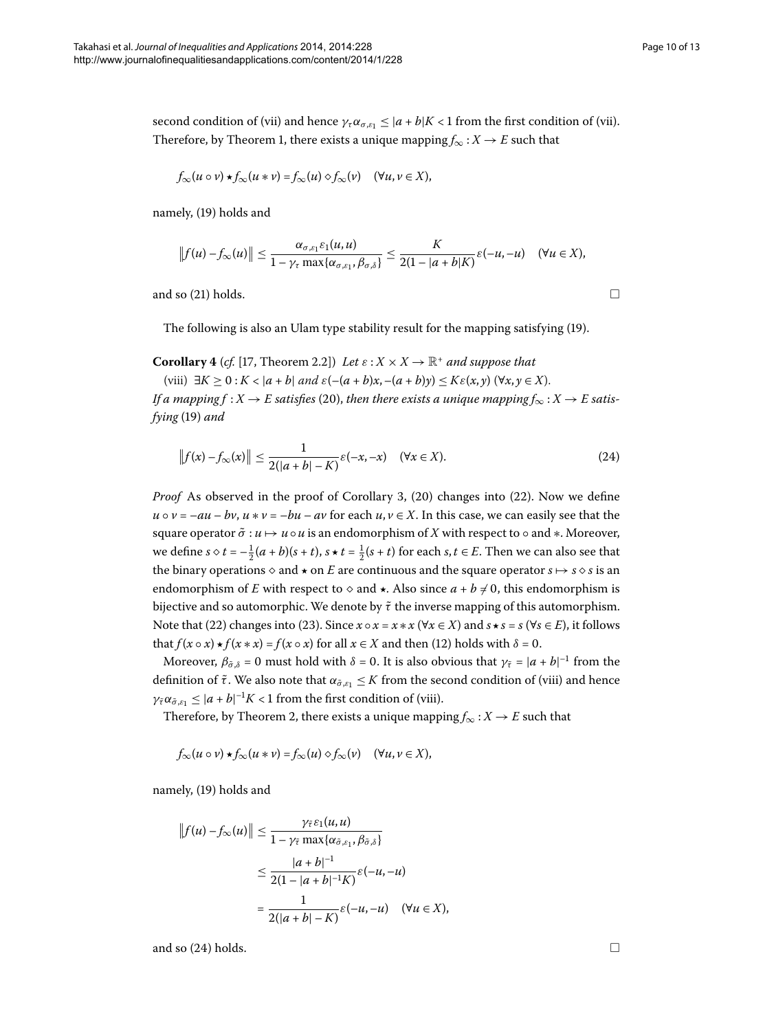second condition of (vii) and hence  $\gamma_{\tau} \alpha_{\sigma, \varepsilon_1} \leq |a+b|K < 1$  from the first condition of (vii). Therefore[,](#page-2-7) by Theorem 1, there exists a unique mapping  $f_{\infty}: X \to E$  such that

$$
f_{\infty}(u \circ v) \star f_{\infty}(u * v) = f_{\infty}(u) \diamond f_{\infty}(v) \quad (\forall u, v \in X),
$$

namely, [\(](#page-8-0)19) holds and

<span id="page-9-1"></span><span id="page-9-0"></span>
$$
||f(u)-f_{\infty}(u)|| \leq \frac{\alpha_{\sigma,\varepsilon_1}\varepsilon_1(u,u)}{1-\gamma_{\tau}\max\{\alpha_{\sigma,\varepsilon_1},\beta_{\sigma,\delta}\}} \leq \frac{K}{2(1-|a+b|K)}\varepsilon(-u,-u) \quad (\forall u \in X),
$$

and so  $(21)$  holds.

The following is also an Ulam type stability result for the mapping satisfying [\(](#page-8-0)19).

**Corollary 4** (*cf.* [17, Theorem 2.2]) *Let*  $\varepsilon$  :  $X \times X \rightarrow \mathbb{R}^+$  *and suppose that* 

(viii)  $\exists K \geq 0 : K < |a + b| \text{ and } \varepsilon \left( -(a + b)x, -(a + b)y \right) \leq K \varepsilon(x, y) \quad (\forall x, y \in X).$ *If a mapping f* : *X*  $\rightarrow$  *E* satisfies (20), then there exists a unique mapping  $f_{\infty}$  : *X*  $\rightarrow$  *E* satis*fying* (19[\)](#page-8-0) and

$$
\|f(x) - f_{\infty}(x)\| \le \frac{1}{2(|a+b| - K)} \varepsilon(-x, -x) \quad (\forall x \in X). \tag{24}
$$

*Proof* As observed in the proof of Corollary 3[,](#page-8-4) (20[\)](#page-8-2) changes into (22). Now we define  $u \circ v = -au - bv$ ,  $u * v = -bu - av$  for each  $u, v \in X$ . In this case, we can easily see that the square operator  $\tilde{\sigma}$  : *u* → *u* ∘ *u* is an endomorphism of *X* with respect to ∘ and ∗. Moreover, we define  $s \diamond t = -\frac{1}{2}(a+b)(s+t)$ ,  $s \star t = \frac{1}{2}(s+t)$  for each  $s, t \in E$ . Then we can also see that the binary operations  $\diamond$  and  $\star$  on  $E$  are continuous and the square operator  $s \mapsto s \diamond s$  is an endomorphism of *E* with respect to  $\diamond$  and  $\star$ . Also since  $a + b \neq 0$ , this endomorphism is bijective and so automorphic. We denote by  $\tilde{\tau}$  the inverse mapping of this automorphism. Note that [\(](#page-8-2)22[\)](#page-8-5) changes into (23). Since  $x \circ x = x * x$  ( $\forall x \in X$ ) and  $s * s = s$  ( $\forall s \in E$ ), it follows that  $f(x \circ x) \star f(x * x) = f(x \circ x)$  for all  $x \in X$  and then (12) holds with  $\delta = 0$ .

Moreover,  $\beta_{\tilde{\sigma},\delta} = 0$  must hold with  $\delta = 0$ . It is also obvious that  $\gamma_{\tilde{\tau}} = |a + b|^{-1}$  from the definition of  $\tilde{\tau}$ . We also note that  $\alpha_{\tilde{\sigma},\varepsilon_1} \leq K$  from the second condition of (viii) and hence  $\gamma_{\tilde{\tau}} \alpha_{\tilde{\sigma}, \varepsilon_1} \leq |a + b|^{-1} K < 1$  from the first condition of (viii).

Therefore, by Theorem 2, there exists a unique mapping  $f_{\infty}: X \to E$  such that

$$
f_{\infty}(u \circ v) \star f_{\infty}(u * v) = f_{\infty}(u) \diamond f_{\infty}(v) \quad (\forall u, v \in X),
$$

namely, [\(](#page-8-0)19) holds and

$$
||f(u) - f_{\infty}(u)|| \le \frac{\gamma_{\tilde{\tau}} \varepsilon_1(u, u)}{1 - \gamma_{\tilde{\tau}} \max\{\alpha_{\tilde{\sigma}, \varepsilon_1}, \beta_{\tilde{\sigma}, \delta}\}}
$$
  

$$
\le \frac{|a + b|^{-1}}{2(1 - |a + b|^{-1}K)} \varepsilon(-u, -u)
$$
  

$$
= \frac{1}{2(|a + b| - K)} \varepsilon(-u, -u) \quad (\forall u \in X),
$$

and so  $(24)$  holds.  $\Box$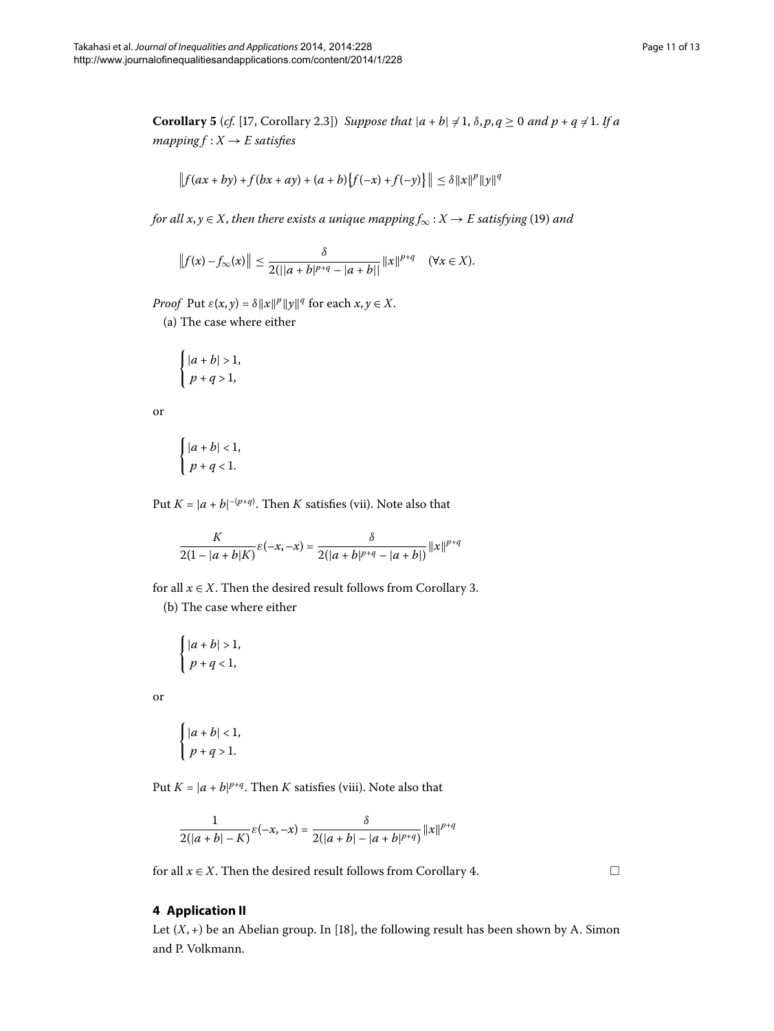**Corollary 5** (*cf.* [17[,](#page-12-10) Corollary 2.3]) *Suppose that*  $|a + b| \neq 1$ ,  $\delta, p, q \geq 0$  *and*  $p + q \neq 1$ . If a *mapping*  $f: X \rightarrow E$  *satisfies* 

$$
\|f(ax+by)+f(bx+ay)+(a+b)\{f(-x)+f(-y)\}\| \leq \delta \|x\|^p \|y\|^q
$$

*for all x*, *y*  $\in$  *X*, *then there exists a unique mapping*  $f_{\infty}$  : *X*  $\rightarrow$  *E satisfying* [\(](#page-8-0)19) *and* 

$$
||f(x)-f_{\infty}(x)|| \leq \frac{\delta}{2(||a+b|^{p+q}-|a+b||}||x||^{p+q} \quad (\forall x \in X).
$$

*Proof* Put  $\varepsilon(x, y) = \delta ||x||^p ||y||^q$  for each  $x, y \in X$ .

(a) The case where either

$$
\begin{cases} |a+b|>1, \\ p+q>1, \end{cases}
$$

or

$$
\begin{cases} |a+b| < 1, \\ p+q < 1. \end{cases}
$$

Put  $K = |a + b|^{-(p+q)}$ . Then  $K$  satisfies (vii). Note also that

$$
\frac{K}{2(1-|a+b|K)}\varepsilon(-x,-x) = \frac{\delta}{2(|a+b|^{p+q}-|a+b|)}||x||^{p+q}
$$

for all  $x \in X$ . Then the desired result follows from Corollary 3.

(b) The case where either

$$
\begin{cases} |a+b| > 1, \\ p+q < 1, \end{cases}
$$

or

$$
\begin{cases} |a+b| < 1, \\ p+q > 1. \end{cases}
$$

Put  $K = |a + b|^{p+q}$ . Then  $K$  satisfies (viii). Note also that

$$
\frac{1}{2(|a+b|-K)}\varepsilon(-x,-x) = \frac{\delta}{2(|a+b|-|a+b|^{p+q})}\|x\|^{p+q}
$$

for all  $x \in X$ [.](#page-9-1) Then the desired result follows from Corollary 4.

 $\Box$ 

#### **4 Application II**

Let  $(X, +)$  be an Abelian group. In [18[\]](#page-12-11), the following result has been shown by A. Simon and P. Volkmann.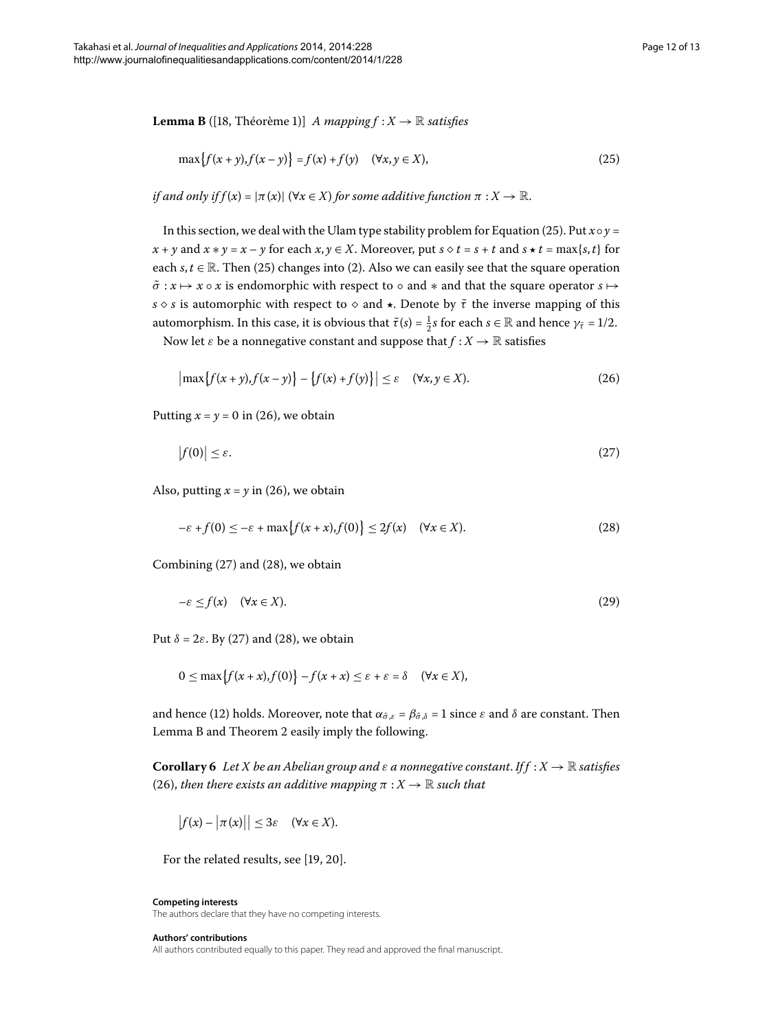<span id="page-11-4"></span>**Lemma B** ([\[](#page-12-11)18, Théorème 1)] *A mapping*  $f : X \to \mathbb{R}$  *satisfies* 

<span id="page-11-1"></span><span id="page-11-0"></span>
$$
\max\{f(x+y), f(x-y)\} = f(x) + f(y) \quad (\forall x, y \in X),\tag{25}
$$

*if and only if f*(*x*) =  $|\pi(x)|$  ( $\forall x \in X$ ) *for some additive function*  $\pi : X \to \mathbb{R}$ .

In this section, we deal with the Ulam type stability problem for Equation [\(](#page-11-0)25). Put  $x \circ y =$ *x* + *y* and *x*  $\ast$  *y* = *x* – *y* for each *x*, *y*  $\in$  *X*. Moreover, put *s*  $\diamond$  *t* = *s* + *t* and *s*  $\star$  *t* = max{*s*, *t*} for each  $s, t \in \mathbb{R}$ . Then (25[\)](#page-2-0) changes into (2). Also we can easily see that the square operation  $\tilde{\sigma}$  :  $x \mapsto x \circ x$  is endomorphic with respect to  $\circ$  and  $*$  and that the square operator  $s \mapsto$ *s* ◇ *s* is automorphic with respect to ◇ and  $\star$ . Denote by  $\tilde{\tau}$  the inverse mapping of this automorphism. In this case, it is obvious that  $\tilde{\tau}(s) = \frac{1}{2}s$  for each  $s \in \mathbb{R}$  and hence  $\gamma_{\tilde{\tau}} = 1/2$ .

Now let  $\varepsilon$  be a nonnegative constant and suppose that  $f : X \to \mathbb{R}$  satisfies

<span id="page-11-3"></span><span id="page-11-2"></span>
$$
\left|\max\{f(x+y), f(x-y)\}-\{f(x)+f(y)\}\right|\leq \varepsilon \quad (\forall x, y \in X). \tag{26}
$$

Putting  $x = y = 0$  in (26), we obtain

$$
\left|f(0)\right| \leq \varepsilon. \tag{27}
$$

Also, putting  $x = y$  in (26[\)](#page-11-1), we obtain

$$
-\varepsilon + f(0) \le -\varepsilon + \max\{f(x+x), f(0)\} \le 2f(x) \quad (\forall x \in X). \tag{28}
$$

Combining  $(27)$  $(27)$  and  $(28)$ , we obtain

$$
-\varepsilon \le f(x) \quad (\forall x \in X). \tag{29}
$$

Put  $\delta = 2\varepsilon$ . By (27[\)](#page-11-2) and (28), we obtain

 $0 \leq \max\{f(x+x), f(0)\} - f(x+x) \leq \varepsilon + \varepsilon = \delta \quad (\forall x \in X),$ 

and hence (12[\)](#page-5-2) holds. Moreover, note that  $\alpha_{\tilde{\sigma},\varepsilon} = \beta_{\tilde{\sigma},\delta} = 1$  since  $\varepsilon$  and  $\delta$  are constant. Then Lemma [B](#page-11-4) and Theorem 2 easily imply the following.

**Corollary 6** Let *X* be an Abelian group and  $\varepsilon$  a nonnegative constant. If  $f : X \to \mathbb{R}$  satisfies (26), *then there exists an additive mapping*  $\pi : X \to \mathbb{R}$  *such that* 

$$
\big|f(x)-\big|\pi(x)\big|\big|\leq 3\varepsilon\quad(\forall x\in X).
$$

For the related results, see  $[19, 20]$  $[19, 20]$ .

#### **Competing interests**

The authors declare that they have no competing interests.

#### **Authors' contributions**

All authors contributed equally to this paper. They read and approved the final manuscript.